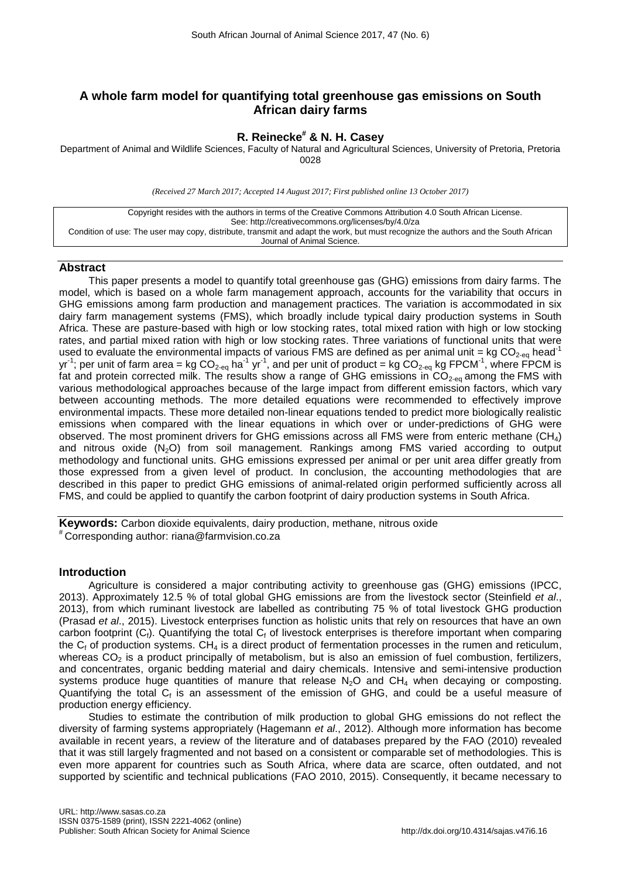# **A whole farm model for quantifying total greenhouse gas emissions on South African dairy farms**

# **R. Reinecke# & N. H. Casey**

Department of Animal and Wildlife Sciences, Faculty of Natural and Agricultural Sciences, University of Pretoria, Pretoria 0028

*(Received 27 March 2017; Accepted 14 August 2017; First published online 13 October 2017)*

| Copyright resides with the authors in terms of the Creative Commons Attribution 4.0 South African License.                         |
|------------------------------------------------------------------------------------------------------------------------------------|
| See: http://creativecommons.org/licenses/by/4.0/za                                                                                 |
| Condition of use: The user may copy, distribute, transmit and adapt the work, but must recognize the authors and the South African |
| Journal of Animal Science.                                                                                                         |

## **Abstract**

This paper presents a model to quantify total greenhouse gas (GHG) emissions from dairy farms. The model, which is based on a whole farm management approach, accounts for the variability that occurs in GHG emissions among farm production and management practices. The variation is accommodated in six dairy farm management systems (FMS), which broadly include typical dairy production systems in South Africa. These are pasture-based with high or low stocking rates, total mixed ration with high or low stocking rates, and partial mixed ration with high or low stocking rates. Three variations of functional units that were used to evaluate the environmental impacts of various FMS are defined as per animal unit = kg  $CO<sub>2-e0</sub>$  head<sup>-1</sup> yr<sup>-1</sup>; per unit of farm area = kg CO<sub>2-eq</sub> ha<sup>-1</sup> yr<sup>-1</sup>, and per unit of product = kg CO<sub>2-eq</sub> kg FPCM<sup>-1</sup>, where FPCM is fat and protein corrected milk. The results show a range of GHG emissions in  $CO<sub>2-eq</sub>$  among the FMS with various methodological approaches because of the large impact from different emission factors, which vary between accounting methods. The more detailed equations were recommended to effectively improve environmental impacts. These more detailed non-linear equations tended to predict more biologically realistic emissions when compared with the linear equations in which over or under-predictions of GHG were observed. The most prominent drivers for GHG emissions across all FMS were from enteric methane (CH4) and nitrous oxide  $(N_2O)$  from soil management. Rankings among FMS varied according to output methodology and functional units. GHG emissions expressed per animal or per unit area differ greatly from those expressed from a given level of product. In conclusion, the accounting methodologies that are described in this paper to predict GHG emissions of animal-related origin performed sufficiently across all FMS, and could be applied to quantify the carbon footprint of dairy production systems in South Africa.

**Keywords:** Carbon dioxide equivalents, dairy production, methane, nitrous oxide # Corresponding author: riana@farmvision.co.za

### **Introduction**

Agriculture is considered a major contributing activity to greenhouse gas (GHG) emissions (IPCC, 2013). Approximately 12.5 % of total global GHG emissions are from the livestock sector (Steinfield *et al*., 2013), from which ruminant livestock are labelled as contributing 75 % of total livestock GHG production (Prasad *et al*., 2015). Livestock enterprises function as holistic units that rely on resources that have an own carbon footprint  $(C_i)$ . Quantifying the total  $C_i$  of livestock enterprises is therefore important when comparing the  $C_f$  of production systems. CH<sub>4</sub> is a direct product of fermentation processes in the rumen and reticulum, whereas  $CO<sub>2</sub>$  is a product principally of metabolism, but is also an emission of fuel combustion, fertilizers, and concentrates, organic bedding material and dairy chemicals. Intensive and semi-intensive production systems produce huge quantities of manure that release  $N<sub>2</sub>O$  and  $CH<sub>4</sub>$  when decaying or composting. Quantifying the total  $C_f$  is an assessment of the emission of GHG, and could be a useful measure of production energy efficiency.

Studies to estimate the contribution of milk production to global GHG emissions do not reflect the diversity of farming systems appropriately (Hagemann *et al*., 2012). Although more information has become available in recent years, a review of the literature and of databases prepared by the FAO (2010) revealed that it was still largely fragmented and not based on a consistent or comparable set of methodologies. This is even more apparent for countries such as South Africa, where data are scarce, often outdated, and not supported by scientific and technical publications (FAO 2010, 2015). Consequently, it became necessary to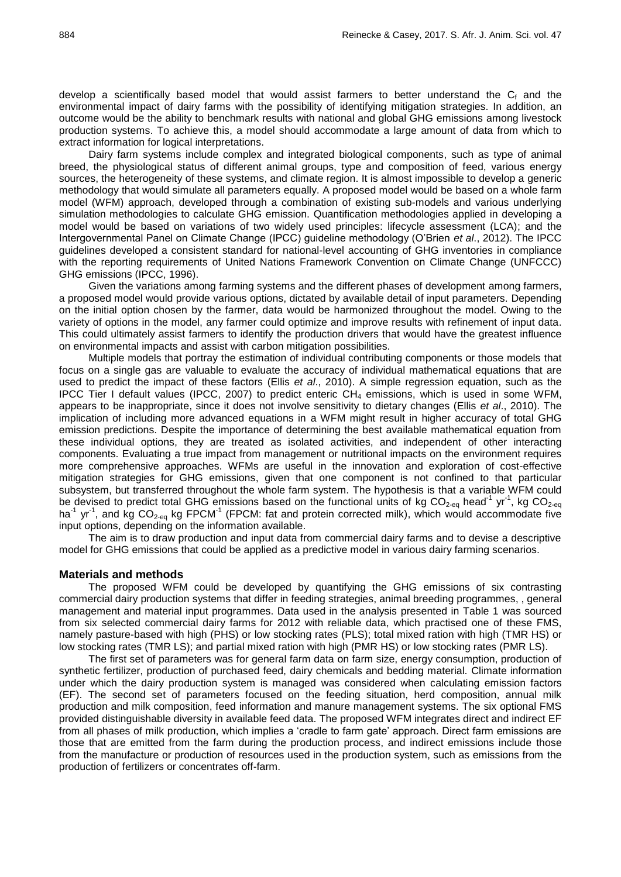develop a scientifically based model that would assist farmers to better understand the  $C_f$  and the environmental impact of dairy farms with the possibility of identifying mitigation strategies. In addition, an outcome would be the ability to benchmark results with national and global GHG emissions among livestock production systems. To achieve this, a model should accommodate a large amount of data from which to extract information for logical interpretations.

Dairy farm systems include complex and integrated biological components, such as type of animal breed, the physiological status of different animal groups, type and composition of feed, various energy sources, the heterogeneity of these systems, and climate region. It is almost impossible to develop a generic methodology that would simulate all parameters equally. A proposed model would be based on a whole farm model (WFM) approach, developed through a combination of existing sub-models and various underlying simulation methodologies to calculate GHG emission. Quantification methodologies applied in developing a model would be based on variations of two widely used principles: lifecycle assessment (LCA); and the Intergovernmental Panel on Climate Change (IPCC) guideline methodology (O'Brien *et al*., 2012). The IPCC guidelines developed a consistent standard for national-level accounting of GHG inventories in compliance with the reporting requirements of United Nations Framework Convention on Climate Change (UNFCCC) GHG emissions (IPCC, 1996).

Given the variations among farming systems and the different phases of development among farmers, a proposed model would provide various options, dictated by available detail of input parameters. Depending on the initial option chosen by the farmer, data would be harmonized throughout the model. Owing to the variety of options in the model, any farmer could optimize and improve results with refinement of input data. This could ultimately assist farmers to identify the production drivers that would have the greatest influence on environmental impacts and assist with carbon mitigation possibilities.

Multiple models that portray the estimation of individual contributing components or those models that focus on a single gas are valuable to evaluate the accuracy of individual mathematical equations that are used to predict the impact of these factors (Ellis *et al*., 2010). A simple regression equation, such as the IPCC Tier I default values (IPCC, 2007) to predict enteric  $CH<sub>4</sub>$  emissions, which is used in some WFM, appears to be inappropriate, since it does not involve sensitivity to dietary changes (Ellis *et al*., 2010). The implication of including more advanced equations in a WFM might result in higher accuracy of total GHG emission predictions. Despite the importance of determining the best available mathematical equation from these individual options, they are treated as isolated activities, and independent of other interacting components. Evaluating a true impact from management or nutritional impacts on the environment requires more comprehensive approaches. WFMs are useful in the innovation and exploration of cost-effective mitigation strategies for GHG emissions, given that one component is not confined to that particular subsystem, but transferred throughout the whole farm system. The hypothesis is that a variable WFM could be devised to predict total GHG emissions based on the functional units of kg CO<sub>2-eq</sub> head<sup>-1</sup> yr<sup>-1</sup>, kg CO<sub>2-eq</sub> ha<sup>-1</sup> yr<sup>-1</sup>, and kg CO<sub>2-eq</sub> kg FPCM<sup>-1</sup> (FPCM: fat and protein corrected milk), which would accommodate five input options, depending on the information available.

The aim is to draw production and input data from commercial dairy farms and to devise a descriptive model for GHG emissions that could be applied as a predictive model in various dairy farming scenarios.

#### **Materials and methods**

The proposed WFM could be developed by quantifying the GHG emissions of six contrasting commercial dairy production systems that differ in feeding strategies, animal breeding programmes, , general management and material input programmes. Data used in the analysis presented in Table 1 was sourced from six selected commercial dairy farms for 2012 with reliable data, which practised one of these FMS, namely pasture-based with high (PHS) or low stocking rates (PLS); total mixed ration with high (TMR HS) or low stocking rates (TMR LS); and partial mixed ration with high (PMR HS) or low stocking rates (PMR LS).

The first set of parameters was for general farm data on farm size, energy consumption, production of synthetic fertilizer, production of purchased feed, dairy chemicals and bedding material. Climate information under which the dairy production system is managed was considered when calculating emission factors (EF). The second set of parameters focused on the feeding situation, herd composition, annual milk production and milk composition, feed information and manure management systems. The six optional FMS provided distinguishable diversity in available feed data. The proposed WFM integrates direct and indirect EF from all phases of milk production, which implies a 'cradle to farm gate' approach. Direct farm emissions are those that are emitted from the farm during the production process, and indirect emissions include those from the manufacture or production of resources used in the production system, such as emissions from the production of fertilizers or concentrates off-farm.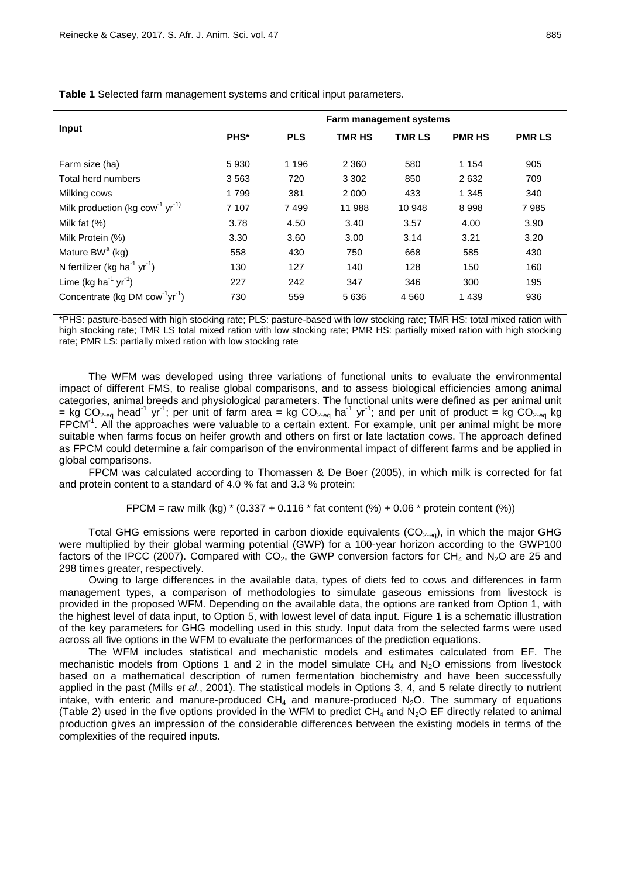|                                                         | Farm management systems |            |               |               |               |               |  |
|---------------------------------------------------------|-------------------------|------------|---------------|---------------|---------------|---------------|--|
| <b>Input</b>                                            | PHS*                    | <b>PLS</b> | <b>TMR HS</b> | <b>TMR LS</b> | <b>PMR HS</b> | <b>PMR LS</b> |  |
| Farm size (ha)                                          | 5930                    | 1 1 9 6    | 2 3 6 0       | 580           | 1 1 5 4       | 905           |  |
| Total herd numbers                                      | 3563                    | 720        | 3 3 0 2       | 850           | 2632          | 709           |  |
| Milking cows                                            | 1799                    | 381        | 2 0 0 0       | 433           | 1 3 4 5       | 340           |  |
| Milk production (kg cow <sup>-1</sup> yr <sup>-1)</sup> | 7 107                   | 7499       | 11 988        | 10 948        | 8998          | 7985          |  |
| Milk fat $(%)$                                          | 3.78                    | 4.50       | 3.40          | 3.57          | 4.00          | 3.90          |  |
| Milk Protein (%)                                        | 3.30                    | 3.60       | 3.00          | 3.14          | 3.21          | 3.20          |  |
| Mature BW <sup>a</sup> (kg)                             | 558                     | 430        | 750           | 668           | 585           | 430           |  |
| N fertilizer (kg ha $^{-1}$ yr $^{-1}$ )                | 130                     | 127        | 140           | 128           | 150           | 160           |  |
| Lime (kg ha <sup>-1</sup> yr <sup>-1</sup> )            | 227                     | 242        | 347           | 346           | 300           | 195           |  |
| Concentrate (kg DM cow <sup>-1</sup> yr <sup>-1</sup> ) | 730                     | 559        | 5636          | 4560          | 1439          | 936           |  |

**Table 1** Selected farm management systems and critical input parameters.

\*PHS: pasture-based with high stocking rate; PLS: pasture-based with low stocking rate; TMR HS: total mixed ration with high stocking rate; TMR LS total mixed ration with low stocking rate; PMR HS: partially mixed ration with high stocking rate; PMR LS: partially mixed ration with low stocking rate

The WFM was developed using three variations of functional units to evaluate the environmental impact of different FMS, to realise global comparisons, and to assess biological efficiencies among animal categories, animal breeds and physiological parameters. The functional units were defined as per animal unit = kg CO<sub>2-eq</sub> head<sup>-1</sup> yr<sup>-1</sup>; per unit of farm area = kg CO<sub>2-eq</sub> ha<sup>-1</sup> yr<sup>-1</sup>; and per unit of product = kg CO<sub>2-eq</sub> kg FPCM<sup>-1</sup>. All the approaches were valuable to a certain extent. For example, unit per animal might be more suitable when farms focus on heifer growth and others on first or late lactation cows. The approach defined as FPCM could determine a fair comparison of the environmental impact of different farms and be applied in global comparisons.

FPCM was calculated according to Thomassen & De Boer (2005), in which milk is corrected for fat and protein content to a standard of 4.0 % fat and 3.3 % protein:

FPCM = raw milk (kg)  $*(0.337 + 0.116 *$  fat content (%) + 0.06  $*$  protein content (%))

Total GHG emissions were reported in carbon dioxide equivalents  $(CO_{2-eq})$ , in which the major GHG were multiplied by their global warming potential (GWP) for a 100-year horizon according to the GWP100 factors of the IPCC (2007). Compared with  $CO<sub>2</sub>$ , the GWP conversion factors for CH<sub>4</sub> and N<sub>2</sub>O are 25 and 298 times greater, respectively.

Owing to large differences in the available data, types of diets fed to cows and differences in farm management types, a comparison of methodologies to simulate gaseous emissions from livestock is provided in the proposed WFM. Depending on the available data, the options are ranked from Option 1, with the highest level of data input, to Option 5, with lowest level of data input. Figure 1 is a schematic illustration of the key parameters for GHG modelling used in this study. Input data from the selected farms were used across all five options in the WFM to evaluate the performances of the prediction equations.

The WFM includes statistical and mechanistic models and estimates calculated from EF. The mechanistic models from Options 1 and 2 in the model simulate  $CH_4$  and  $N_2O$  emissions from livestock based on a mathematical description of rumen fermentation biochemistry and have been successfully applied in the past (Mills *et al*., 2001). The statistical models in Options 3, 4, and 5 relate directly to nutrient intake, with enteric and manure-produced  $CH_4$  and manure-produced  $N_2O$ . The summary of equations (Table 2) used in the five options provided in the WFM to predict  $CH<sub>4</sub>$  and N<sub>2</sub>O EF directly related to animal production gives an impression of the considerable differences between the existing models in terms of the complexities of the required inputs.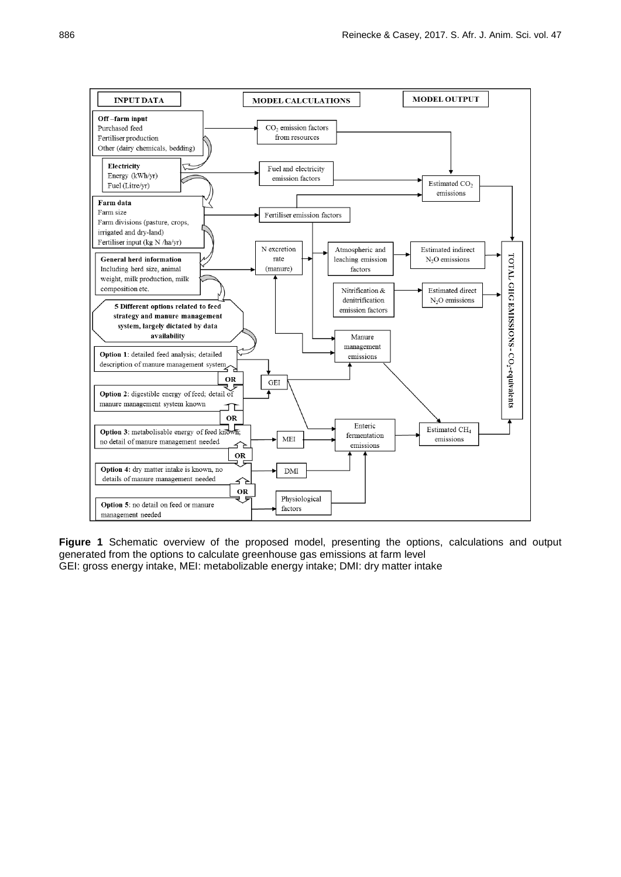

**Figure 1** Schematic overview of the proposed model, presenting the options, calculations and output generated from the options to calculate greenhouse gas emissions at farm level GEI: gross energy intake, MEI: metabolizable energy intake; DMI: dry matter intake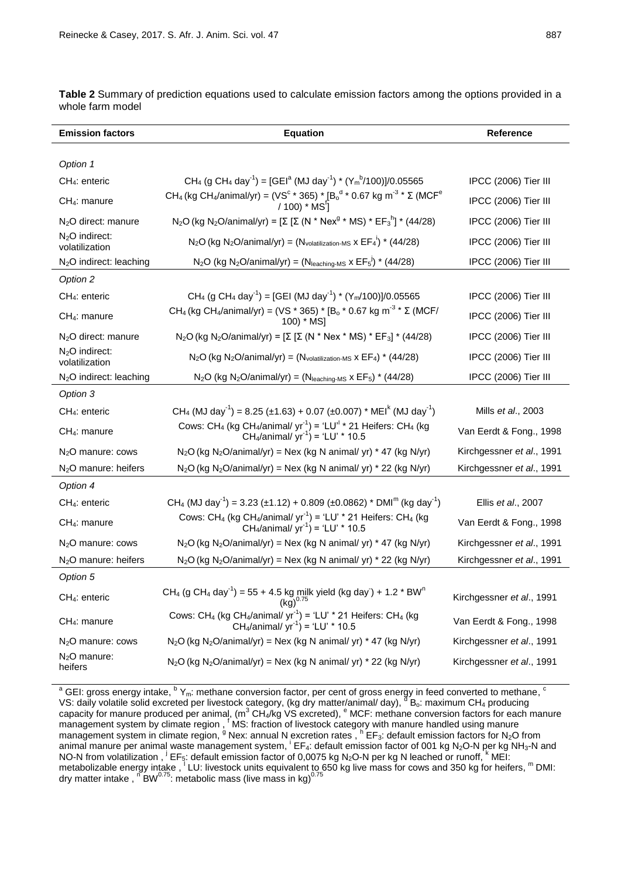| <b>Emission factors</b>             | <b>Equation</b>                                                                                                                                                                     | <b>Reference</b>          |  |  |
|-------------------------------------|-------------------------------------------------------------------------------------------------------------------------------------------------------------------------------------|---------------------------|--|--|
|                                     |                                                                                                                                                                                     |                           |  |  |
| Option 1                            |                                                                                                                                                                                     |                           |  |  |
| $CH4:$ enteric                      | CH <sub>4</sub> (g CH <sub>4</sub> day <sup>-1</sup> ) = [GEI <sup>a</sup> (MJ day <sup>-1</sup> ) * (Y <sub>m</sub> <sup>b</sup> /100)]/0.05565                                    | IPCC (2006) Tier III      |  |  |
| CH <sub>4</sub> : manure            | CH <sub>4</sub> (kg CH <sub>4</sub> /animal/yr) = (VS <sup>c</sup> * 365) * [B <sub>o</sub> <sup>d</sup> * 0.67 kg m <sup>-3</sup> * Σ (MCF <sup>e</sup> / 100) * MS <sup>1</sup> ] | IPCC (2006) Tier III      |  |  |
| N <sub>2</sub> O direct: manure     | N <sub>2</sub> O (kg N <sub>2</sub> O/animal/yr) = [Σ [Σ (N * Nex <sup>9</sup> * MS) * EF <sub>3</sub> <sup>h</sup> ] * (44/28)                                                     | IPCC (2006) Tier III      |  |  |
| $N2O$ indirect:<br>volatilization   | $N_2O$ (kg $N_2O$ /animal/yr) = ( $N_{volatilization-MS}$ x $EF_4^i$ ) * (44/28)                                                                                                    | IPCC (2006) Tier III      |  |  |
| N <sub>2</sub> O indirect: leaching | $N_2O$ (kg $N_2O$ /animal/yr) = ( $N_{\text{leaching-MS}} \times EF_5^{\text{!`}}$ ) * (44/28)                                                                                      | IPCC (2006) Tier III      |  |  |
| Option 2                            |                                                                                                                                                                                     |                           |  |  |
| CH <sub>4</sub> : enteric           | CH <sub>4</sub> (g CH <sub>4</sub> day <sup>-1</sup> ) = [GEI (MJ day <sup>-1</sup> ) * (Y <sub>m</sub> /100)]/0.05565                                                              | IPCC (2006) Tier III      |  |  |
| CH <sub>4</sub> : manure            | CH <sub>4</sub> (kg CH <sub>4</sub> /animal/yr) = (VS * 365) * [B <sub>o</sub> * 0.67 kg m <sup>-3</sup> * Σ (MCF/<br>100) * MS]                                                    | IPCC (2006) Tier III      |  |  |
| N <sub>2</sub> O direct: manure     | $N_2$ O (kg N <sub>2</sub> O/animal/yr) = [Σ [Σ (N * Nex * MS) * EF <sub>3</sub> ] * (44/28)                                                                                        | IPCC (2006) Tier III      |  |  |
| $N2O$ indirect:<br>volatilization   | $N_2O$ (kg $N_2O$ /animal/yr) = ( $N_{\text{volatilization-MS}}$ x EF <sub>4</sub> ) * (44/28)                                                                                      | IPCC (2006) Tier III      |  |  |
| $N2O$ indirect: leaching            | $N_2O$ (kg $N_2O$ /animal/yr) = ( $N_{\text{leaching-MS}} \times EF_5$ ) * (44/28)                                                                                                  | IPCC (2006) Tier III      |  |  |
| Option 3                            |                                                                                                                                                                                     |                           |  |  |
| CH <sub>4</sub> : enteric           | CH <sub>4</sub> (MJ day <sup>-1</sup> ) = 8.25 (±1.63) + 0.07 (±0.007) * MEI <sup>k</sup> (MJ day <sup>-1</sup> )                                                                   | Mills et al., 2003        |  |  |
| $CH4:$ manure                       | Cows: CH <sub>4</sub> (kg CH <sub>4</sub> /animal/ yr <sup>-1</sup> ) = 'LU <sup>-1</sup> * 21 Heifers: CH <sub>4</sub> (kg<br>CH <sub>4</sub> /animal/ $yr^{-1}$ ) = 'LU' * 10.5   | Van Eerdt & Fong., 1998   |  |  |
| $N2O$ manure: cows                  | $N_2O$ (kg $N_2O$ /animal/yr) = Nex (kg N animal/ yr) * 47 (kg N/yr)                                                                                                                | Kirchgessner et al., 1991 |  |  |
| N <sub>2</sub> O manure: heifers    | $N_2O$ (kg $N_2O$ /animal/yr) = Nex (kg N animal/ yr) * 22 (kg N/yr)                                                                                                                | Kirchgessner et al., 1991 |  |  |
| Option 4                            |                                                                                                                                                                                     |                           |  |  |
| $CH4:$ enteric                      | CH <sub>4</sub> (MJ day <sup>-1</sup> ) = 3.23 (±1.12) + 0.809 (±0.0862) * DMI <sup>m</sup> (kg day <sup>-1</sup> )                                                                 | Ellis et al., 2007        |  |  |
| $CH4:$ manure                       | Cows: CH <sub>4</sub> (kg CH <sub>4</sub> /animal/ yr <sup>-1</sup> ) = 'LU' * 21 Heifers: CH <sub>4</sub> (kg<br>CH <sub>4</sub> /animal/ $yr^{-1}$ ) = 'LU' * 10.5                | Van Eerdt & Fong., 1998   |  |  |
| N <sub>2</sub> O manure: cows       | $N_2O$ (kg $N_2O$ /animal/yr) = Nex (kg N animal/ yr) * 47 (kg N/yr)                                                                                                                | Kirchgessner et al., 1991 |  |  |
| N <sub>2</sub> O manure: heifers    | $N_2O$ (kg $N_2O$ /animal/yr) = Nex (kg N animal/ yr) * 22 (kg N/yr)                                                                                                                | Kirchgessner et al., 1991 |  |  |
| Option 5                            |                                                                                                                                                                                     |                           |  |  |
| CH <sub>4</sub> : enteric           | CH <sub>4</sub> (g CH <sub>4</sub> day <sup>-1</sup> ) = 55 + 4.5 kg milk yield (kg day) + 1.2 * BW <sup>n</sup><br>$(kg)^{0.75}$                                                   | Kirchgessner et al., 1991 |  |  |
| $CH_4$ : manure                     | Cows: CH <sub>4</sub> (kg CH <sub>4</sub> /animal/ yr <sup>-1</sup> ) = 'LU' * 21 Heifers: CH <sub>4</sub> (kg<br>CH <sub>4</sub> /animal/ $yr^{-1}$ ) = 'LU' * 10.5                | Van Eerdt & Fong., 1998   |  |  |
| N <sub>2</sub> O manure: cows       | $N_2O$ (kg $N_2O$ /animal/yr) = Nex (kg N animal/ yr) * 47 (kg N/yr)                                                                                                                | Kirchgessner et al., 1991 |  |  |
| $N2O$ manure:<br>heifers            | $N_2O$ (kg $N_2O$ /animal/yr) = Nex (kg N animal/ yr) * 22 (kg N/yr)                                                                                                                | Kirchgessner et al., 1991 |  |  |

**Table 2** Summary of prediction equations used to calculate emission factors among the options provided in a whole farm model

 $^{\rm a}$  GEI: gross energy intake,  $^{\rm b}$  Y<sub>m</sub>: methane conversion factor, per cent of gross energy in feed converted to methane, <sup>c</sup> VS: daily volatile solid excreted per livestock category, (kg dry matter/animal/ day), <sup>d'</sup>B<sub>o</sub>: maximum CH<sub>4</sub> producing capacity for manure produced per animal, (m<sup>3</sup> CH<sub>4</sub>/kg VS excreted), <sup>e</sup> MCF: methane conversion factors for each manure management system by climate region, <sup>f</sup> MS: fraction of livestock category with manure handled using manure management system in climate region, <sup>9</sup> Nex: annual N excretion rates, <sup>h'</sup>EF<sub>3</sub>: default emission factors for N<sub>2</sub>O from animal manure per animal waste management system, <sup>i</sup> EF<sub>4</sub>: default emission factor of 001 kg N<sub>2</sub>O-N per kg NH<sub>3</sub>-N and NO-N from volatilization, <sup>j</sup> EF<sub>5</sub>: default emission factor of 0,0075 kg N<sub>2</sub>O-N per kg N leached or runoff, <sup>k</sup> MEI: metabolizable energy intake, <sup>1</sup> LU: livestock units equivalent to 650 kg live mass for cows and 350 kg for heifers, <sup>m</sup> DMI: dry matter intake ,  $\sqrt{B}W^{0.75}$ : metabolic mass (live mass in kg)<sup>0.75</sup>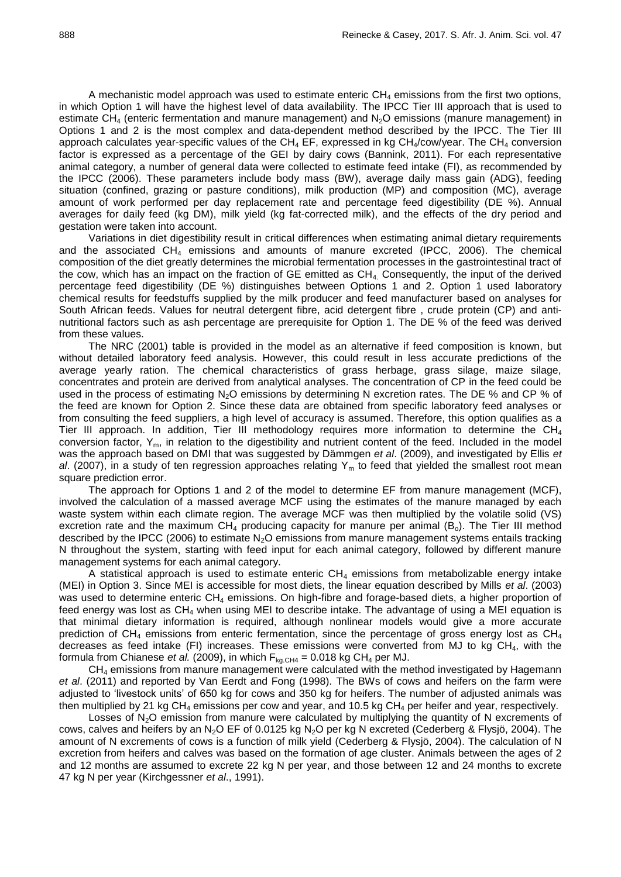A mechanistic model approach was used to estimate enteric  $CH_4$  emissions from the first two options, in which Option 1 will have the highest level of data availability. The IPCC Tier III approach that is used to estimate  $CH_4$  (enteric fermentation and manure management) and  $N_2O$  emissions (manure management) in Options 1 and 2 is the most complex and data-dependent method described by the IPCC. The Tier III approach calculates year-specific values of the CH<sub>4</sub> EF, expressed in kg CH<sub>4</sub>/cow/year. The CH<sub>4</sub> conversion factor is expressed as a percentage of the GEI by dairy cows (Bannink, 2011). For each representative animal category, a number of general data were collected to estimate feed intake (FI), as recommended by the IPCC (2006). These parameters include body mass (BW), average daily mass gain (ADG), feeding situation (confined, grazing or pasture conditions), milk production (MP) and composition (MC), average amount of work performed per day replacement rate and percentage feed digestibility (DE %). Annual averages for daily feed (kg DM), milk yield (kg fat-corrected milk), and the effects of the dry period and gestation were taken into account.

Variations in diet digestibility result in critical differences when estimating animal dietary requirements and the associated CH<sup>4</sup> emissions and amounts of manure excreted (IPCC, 2006). The chemical composition of the diet greatly determines the microbial fermentation processes in the gastrointestinal tract of the cow, which has an impact on the fraction of GE emitted as  $CH<sub>4</sub>$  Consequently, the input of the derived percentage feed digestibility (DE %) distinguishes between Options 1 and 2. Option 1 used laboratory chemical results for feedstuffs supplied by the milk producer and feed manufacturer based on analyses for South African feeds. Values for neutral detergent fibre, acid detergent fibre , crude protein (CP) and antinutritional factors such as ash percentage are prerequisite for Option 1. The DE % of the feed was derived from these values.

The NRC (2001) table is provided in the model as an alternative if feed composition is known, but without detailed laboratory feed analysis. However, this could result in less accurate predictions of the average yearly ration. The chemical characteristics of grass herbage, grass silage, maize silage, concentrates and protein are derived from analytical analyses. The concentration of CP in the feed could be used in the process of estimating  $N_2O$  emissions by determining N excretion rates. The DE % and CP % of the feed are known for Option 2. Since these data are obtained from specific laboratory feed analyses or from consulting the feed suppliers, a high level of accuracy is assumed. Therefore, this option qualifies as a Tier III approach. In addition, Tier III methodology requires more information to determine the  $CH<sub>4</sub>$ conversion factor,  $Y_m$ , in relation to the digestibility and nutrient content of the feed. Included in the model was the approach based on DMI that was suggested by Dämmgen *et al*. (2009), and investigated by Ellis *et*  al. (2007), in a study of ten regression approaches relating Y<sub>m</sub> to feed that yielded the smallest root mean square prediction error.

The approach for Options 1 and 2 of the model to determine EF from manure management (MCF), involved the calculation of a massed average MCF using the estimates of the manure managed by each waste system within each climate region. The average MCF was then multiplied by the volatile solid (VS) excretion rate and the maximum  $CH_4$  producing capacity for manure per animal  $(B_0)$ . The Tier III method described by the IPCC (2006) to estimate  $N<sub>2</sub>O$  emissions from manure management systems entails tracking N throughout the system, starting with feed input for each animal category, followed by different manure management systems for each animal category.

A statistical approach is used to estimate enteric  $CH_4$  emissions from metabolizable energy intake (MEI) in Option 3. Since MEI is accessible for most diets, the linear equation described by Mills *et al*. (2003) was used to determine enteric CH<sub>4</sub> emissions. On high-fibre and forage-based diets, a higher proportion of feed energy was lost as  $CH_4$  when using MEI to describe intake. The advantage of using a MEI equation is that minimal dietary information is required, although nonlinear models would give a more accurate prediction of  $CH_4$  emissions from enteric fermentation, since the percentage of gross energy lost as  $CH_4$ decreases as feed intake (FI) increases. These emissions were converted from MJ to kg CH<sub>4</sub>, with the formula from Chianese *et al.* (2009), in which  $F_{kq,CH4} = 0.018$  kg CH<sub>4</sub> per MJ.

CH<sub>4</sub> emissions from manure management were calculated with the method investigated by Hagemann *et al*. (2011) and reported by Van Eerdt and Fong (1998). The BWs of cows and heifers on the farm were adjusted to 'livestock units' of 650 kg for cows and 350 kg for heifers. The number of adjusted animals was then multiplied by 21 kg  $CH_4$  emissions per cow and year, and 10.5 kg  $CH_4$  per heifer and year, respectively.

Losses of  $N_2O$  emission from manure were calculated by multiplying the quantity of N excrements of cows, calves and heifers by an N<sub>2</sub>O EF of 0.0125 kg N<sub>2</sub>O per kg N excreted (Cederberg & Flysjö, 2004). The amount of N excrements of cows is a function of milk yield (Cederberg & Flysjö, 2004). The calculation of N excretion from heifers and calves was based on the formation of age cluster. Animals between the ages of 2 and 12 months are assumed to excrete 22 kg N per year, and those between 12 and 24 months to excrete 47 kg N per year (Kirchgessner *et al*., 1991).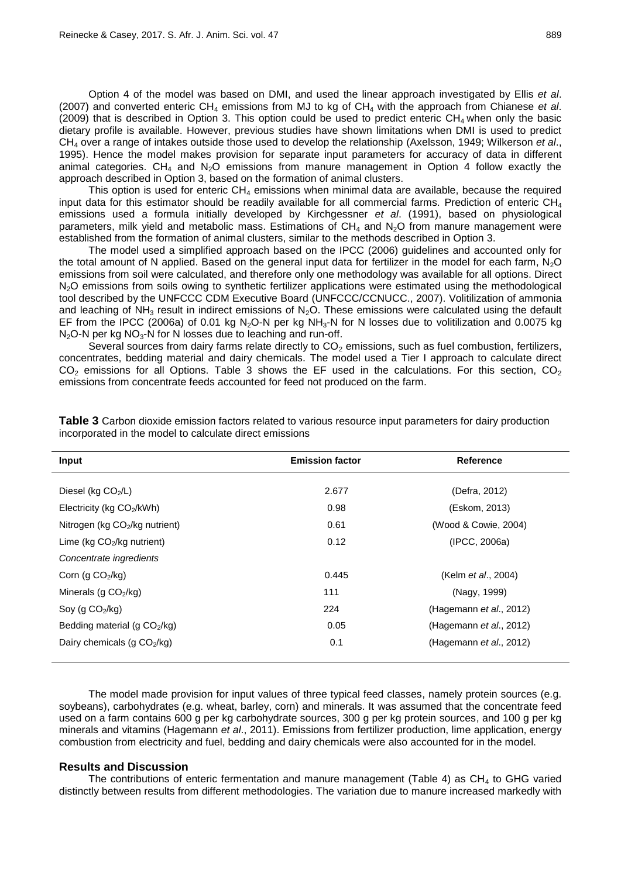Option 4 of the model was based on DMI, and used the linear approach investigated by Ellis *et al*. (2007) and converted enteric CH<sup>4</sup> emissions from MJ to kg of CH<sup>4</sup> with the approach from Chianese *et al*. (2009) that is described in Option 3. This option could be used to predict enteric  $CH<sub>4</sub>$  when only the basic dietary profile is available. However, previous studies have shown limitations when DMI is used to predict CH<sup>4</sup> over a range of intakes outside those used to develop the relationship (Axelsson, 1949; Wilkerson *et al*., 1995). Hence the model makes provision for separate input parameters for accuracy of data in different animal categories. CH<sub>4</sub> and N<sub>2</sub>O emissions from manure management in Option 4 follow exactly the approach described in Option 3, based on the formation of animal clusters.

This option is used for enteric  $CH<sub>4</sub>$  emissions when minimal data are available, because the required input data for this estimator should be readily available for all commercial farms. Prediction of enteric CH<sup>4</sup> emissions used a formula initially developed by Kirchgessner *et al*. (1991), based on physiological parameters, milk yield and metabolic mass. Estimations of  $CH<sub>4</sub>$  and  $N<sub>2</sub>O$  from manure management were established from the formation of animal clusters, similar to the methods described in Option 3.

The model used a simplified approach based on the IPCC (2006) guidelines and accounted only for the total amount of N applied. Based on the general input data for fertilizer in the model for each farm,  $N_2O$ emissions from soil were calculated, and therefore only one methodology was available for all options. Direct N<sub>2</sub>O emissions from soils owing to synthetic fertilizer applications were estimated using the methodological tool described by the UNFCCC CDM Executive Board (UNFCCC/CCNUCC., 2007). Volitilization of ammonia and leaching of  $NH<sub>3</sub>$  result in indirect emissions of N<sub>2</sub>O. These emissions were calculated using the default EF from the IPCC (2006a) of 0.01 kg N<sub>2</sub>O-N per kg NH<sub>3</sub>-N for N losses due to volitilization and 0.0075 kg  $N_2$ O-N per kg  $NO_3$ -N for N losses due to leaching and run-off.

Several sources from dairy farms relate directly to  $CO<sub>2</sub>$  emissions, such as fuel combustion, fertilizers, concentrates, bedding material and dairy chemicals. The model used a Tier I approach to calculate direct  $CO<sub>2</sub>$  emissions for all Options. Table 3 shows the EF used in the calculations. For this section,  $CO<sub>2</sub>$ emissions from concentrate feeds accounted for feed not produced on the farm.

| Input                          | <b>Emission factor</b> | <b>Reference</b>                |
|--------------------------------|------------------------|---------------------------------|
|                                |                        |                                 |
| Diesel (kg CO <sub>2</sub> /L) | 2.677                  | (Defra, 2012)                   |
| Electricity (kg $CO2/kWh$ )    | 0.98                   | (Eskom, 2013)                   |
| Nitrogen (kg CO2/kg nutrient)  | 0.61                   | (Wood & Cowie, 2004)            |
| Lime ( $kg CO2/kg$ nutrient)   | 0.12                   | (IPCC, 2006a)                   |
| Concentrate ingredients        |                        |                                 |
| Corn (g $CO2/kg$ )             | 0.445                  | (Kelm <i>et al.</i> , 2004)     |
| Minerals (g $CO2/kg$ )         | 111                    | (Nagy, 1999)                    |
| Soy (g $CO2/kg$ )              | 224                    | (Hagemann <i>et al.</i> , 2012) |
| Bedding material (g $CO2/kg$ ) | 0.05                   | (Hagemann et al., 2012)         |
| Dairy chemicals (g $CO2/kg$ )  | 0.1                    | (Hagemann et al., 2012)         |

**Table 3** Carbon dioxide emission factors related to various resource input parameters for dairy production incorporated in the model to calculate direct emissions

The model made provision for input values of three typical feed classes, namely protein sources (e.g. soybeans), carbohydrates (e.g. wheat, barley, corn) and minerals. It was assumed that the concentrate feed used on a farm contains 600 g per kg carbohydrate sources, 300 g per kg protein sources, and 100 g per kg minerals and vitamins (Hagemann *et al*., 2011). Emissions from fertilizer production, lime application, energy combustion from electricity and fuel, bedding and dairy chemicals were also accounted for in the model.

#### **Results and Discussion**

The contributions of enteric fermentation and manure management (Table 4) as  $CH<sub>4</sub>$  to GHG varied distinctly between results from different methodologies. The variation due to manure increased markedly with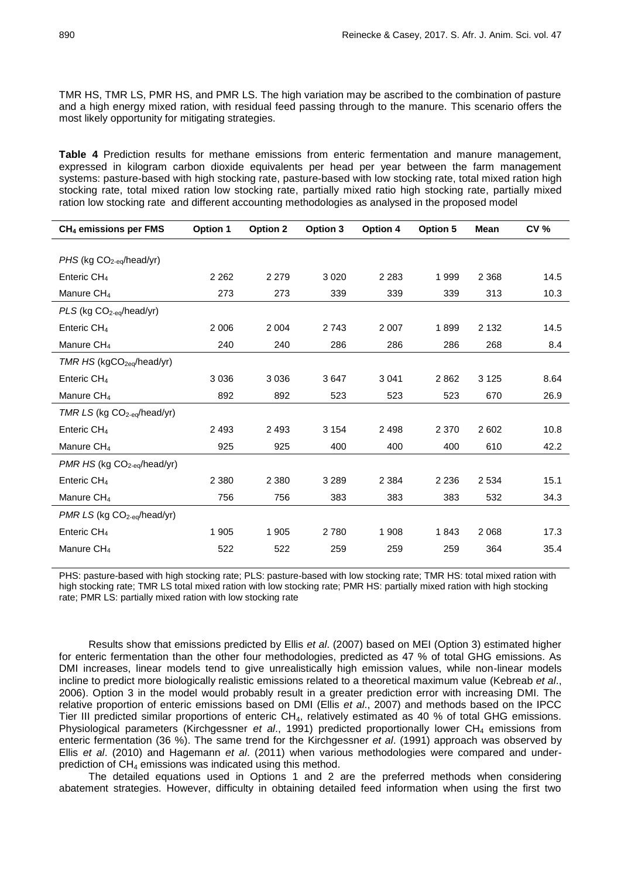TMR HS, TMR LS, PMR HS, and PMR LS. The high variation may be ascribed to the combination of pasture and a high energy mixed ration, with residual feed passing through to the manure. This scenario offers the most likely opportunity for mitigating strategies.

**Table 4** Prediction results for methane emissions from enteric fermentation and manure management, expressed in kilogram carbon dioxide equivalents per head per year between the farm management systems: pasture-based with high stocking rate, pasture-based with low stocking rate, total mixed ration high stocking rate, total mixed ration low stocking rate, partially mixed ratio high stocking rate, partially mixed ration low stocking rate and different accounting methodologies as analysed in the proposed model

| $CH4$ emissions per FMS                 | <b>Option 1</b> | <b>Option 2</b> | Option 3 | Option 4 | Option 5 | <b>Mean</b> | <b>CV %</b> |
|-----------------------------------------|-----------------|-----------------|----------|----------|----------|-------------|-------------|
|                                         |                 |                 |          |          |          |             |             |
| PHS (kg CO <sub>2-eq</sub> /head/yr)    |                 |                 |          |          |          |             |             |
| Enteric CH <sub>4</sub>                 | 2 2 6 2         | 2 2 7 9         | 3 0 2 0  | 2 2 8 3  | 1999     | 2 3 6 8     | 14.5        |
| Manure CH <sub>4</sub>                  | 273             | 273             | 339      | 339      | 339      | 313         | 10.3        |
| PLS (kg CO <sub>2-eq</sub> /head/yr)    |                 |                 |          |          |          |             |             |
| Enteric $CH4$                           | 2 0 0 6         | 2 0 0 4         | 2 7 4 3  | 2 0 0 7  | 1899     | 2 1 3 2     | 14.5        |
| Manure CH <sub>4</sub>                  | 240             | 240             | 286      | 286      | 286      | 268         | 8.4         |
| $TMR HS$ (kgCO <sub>2eq</sub> /head/yr) |                 |                 |          |          |          |             |             |
| Enteric CH <sub>4</sub>                 | 3 0 3 6         | 3 0 3 6         | 3647     | 3 0 4 1  | 2862     | 3 1 2 5     | 8.64        |
| Manure CH <sub>4</sub>                  | 892             | 892             | 523      | 523      | 523      | 670         | 26.9        |
| TMR LS (kg CO <sub>2-eq</sub> /head/yr) |                 |                 |          |          |          |             |             |
| Enteric $CH4$                           | 2 4 9 3         | 2 4 9 3         | 3 1 5 4  | 2498     | 2 3 7 0  | 2602        | 10.8        |
| Manure CH <sub>4</sub>                  | 925             | 925             | 400      | 400      | 400      | 610         | 42.2        |
| PMR HS (kg CO <sub>2-eq</sub> /head/yr) |                 |                 |          |          |          |             |             |
| Enteric CH <sub>4</sub>                 | 2 3 8 0         | 2 3 8 0         | 3 2 8 9  | 2 3 8 4  | 2 2 3 6  | 2 5 3 4     | 15.1        |
| Manure CH <sub>4</sub>                  | 756             | 756             | 383      | 383      | 383      | 532         | 34.3        |
| $PMR LS$ (kg $CO2-eq/head/yr$ )         |                 |                 |          |          |          |             |             |
| Enteric $CH4$                           | 1 9 0 5         | 1 9 0 5         | 2780     | 1 908    | 1843     | 2 0 6 8     | 17.3        |
| Manure CH <sub>4</sub>                  | 522             | 522             | 259      | 259      | 259      | 364         | 35.4        |

PHS: pasture-based with high stocking rate; PLS: pasture-based with low stocking rate; TMR HS: total mixed ration with high stocking rate; TMR LS total mixed ration with low stocking rate; PMR HS: partially mixed ration with high stocking rate; PMR LS: partially mixed ration with low stocking rate

Results show that emissions predicted by Ellis *et al*. (2007) based on MEI (Option 3) estimated higher for enteric fermentation than the other four methodologies, predicted as 47 % of total GHG emissions. As DMI increases, linear models tend to give unrealistically high emission values, while non-linear models incline to predict more biologically realistic emissions related to a theoretical maximum value (Kebreab *et al*., 2006). Option 3 in the model would probably result in a greater prediction error with increasing DMI. The relative proportion of enteric emissions based on DMI (Ellis *et al*., 2007) and methods based on the IPCC Tier III predicted similar proportions of enteric CH4, relatively estimated as 40 % of total GHG emissions. Physiological parameters (Kirchgessner *et al.*, 1991) predicted proportionally lower CH<sub>4</sub> emissions from enteric fermentation (36 %). The same trend for the Kirchgessner *et al*. (1991) approach was observed by Ellis *et al*. (2010) and Hagemann *et al*. (2011) when various methodologies were compared and underprediction of CH<sup>4</sup> emissions was indicated using this method.

The detailed equations used in Options 1 and 2 are the preferred methods when considering abatement strategies. However, difficulty in obtaining detailed feed information when using the first two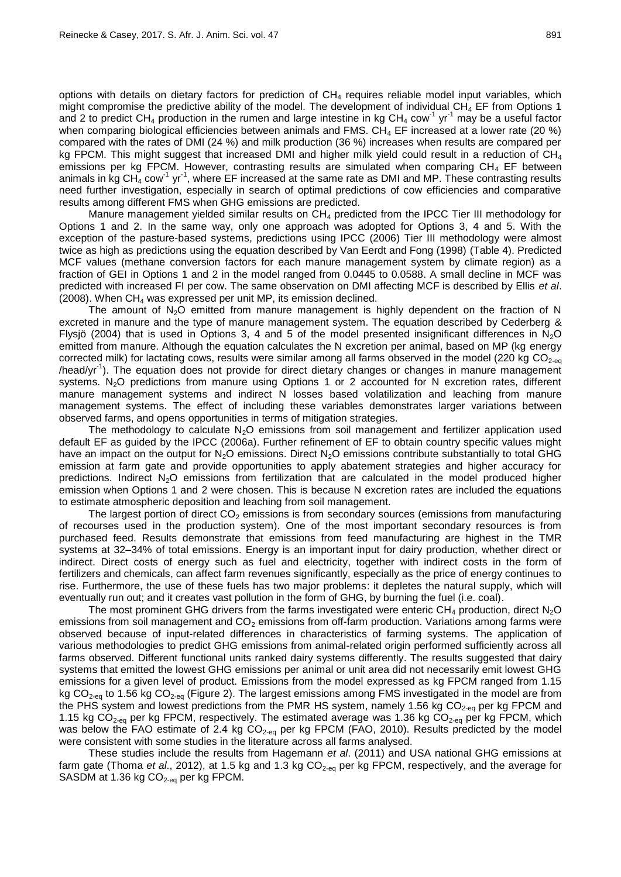options with details on dietary factors for prediction of CH<sup>4</sup> requires reliable model input variables, which might compromise the predictive ability of the model. The development of individual  $CH<sub>4</sub>$  EF from Options 1 and 2 to predict CH<sub>4</sub> production in the rumen and large intestine in kg CH<sub>4</sub> cow<sup>-1</sup> yr<sup>-1</sup> may be a useful factor when comparing biological efficiencies between animals and FMS.  $CH_4$  EF increased at a lower rate (20 %) compared with the rates of DMI (24 %) and milk production (36 %) increases when results are compared per kg FPCM. This might suggest that increased DMI and higher milk yield could result in a reduction of  $CH<sub>4</sub>$ emissions per kg FPCM. However, contrasting results are simulated when comparing  $CH<sub>4</sub>$  EF between animals in kg  $CH_4^2$  cow<sup>-1</sup> yr<sup>-1</sup>, where EF increased at the same rate as DMI and MP. These contrasting results need further investigation, especially in search of optimal predictions of cow efficiencies and comparative results among different FMS when GHG emissions are predicted.

Manure management yielded similar results on  $CH<sub>4</sub>$  predicted from the IPCC Tier III methodology for Options 1 and 2. In the same way, only one approach was adopted for Options 3, 4 and 5. With the exception of the pasture-based systems, predictions using IPCC (2006) Tier III methodology were almost twice as high as predictions using the equation described by Van Eerdt and Fong (1998) (Table 4). Predicted MCF values (methane conversion factors for each manure management system by climate region) as a fraction of GEI in Options 1 and 2 in the model ranged from 0.0445 to 0.0588. A small decline in MCF was predicted with increased FI per cow. The same observation on DMI affecting MCF is described by Ellis *et al*. (2008). When  $CH_4$  was expressed per unit MP, its emission declined.

The amount of  $N<sub>2</sub>O$  emitted from manure management is highly dependent on the fraction of N excreted in manure and the type of manure management system. The equation described by Cederberg & Flysjö (2004) that is used in Options 3, 4 and 5 of the model presented insignificant differences in N<sub>2</sub>O emitted from manure. Although the equation calculates the N excretion per animal, based on MP (kg energy corrected milk) for lactating cows, results were similar among all farms observed in the model (220 kg  $CO<sub>2-eq</sub>$ /head/yr<sup>-1</sup>). The equation does not provide for direct dietary changes or changes in manure management systems. N<sub>2</sub>O predictions from manure using Options 1 or 2 accounted for N excretion rates, different manure management systems and indirect N losses based volatilization and leaching from manure management systems. The effect of including these variables demonstrates larger variations between observed farms, and opens opportunities in terms of mitigation strategies.

The methodology to calculate  $N_2O$  emissions from soil management and fertilizer application used default EF as guided by the IPCC (2006a). Further refinement of EF to obtain country specific values might have an impact on the output for  $N_2O$  emissions. Direct  $N_2O$  emissions contribute substantially to total GHG emission at farm gate and provide opportunities to apply abatement strategies and higher accuracy for predictions. Indirect  $N_2O$  emissions from fertilization that are calculated in the model produced higher emission when Options 1 and 2 were chosen. This is because N excretion rates are included the equations to estimate atmospheric deposition and leaching from soil management.

The largest portion of direct  $CO<sub>2</sub>$  emissions is from secondary sources (emissions from manufacturing of recourses used in the production system). One of the most important secondary resources is from purchased feed. Results demonstrate that emissions from feed manufacturing are highest in the TMR systems at 32–34% of total emissions. Energy is an important input for dairy production, whether direct or indirect. Direct costs of energy such as fuel and electricity, together with indirect costs in the form of fertilizers and chemicals, can affect farm revenues significantly, especially as the price of energy continues to rise. Furthermore, the use of these fuels has two major problems: it depletes the natural supply, which will eventually run out; and it creates vast pollution in the form of GHG, by burning the fuel (i.e. coal).

The most prominent GHG drivers from the farms investigated were enteric  $CH_4$  production, direct  $N_2O$ emissions from soil management and  $CO<sub>2</sub>$  emissions from off-farm production. Variations among farms were observed because of input-related differences in characteristics of farming systems. The application of various methodologies to predict GHG emissions from animal-related origin performed sufficiently across all farms observed. Different functional units ranked dairy systems differently. The results suggested that dairy systems that emitted the lowest GHG emissions per animal or unit area did not necessarily emit lowest GHG emissions for a given level of product. Emissions from the model expressed as kg FPCM ranged from 1.15 kg CO<sub>2-eq</sub> to 1.56 kg CO<sub>2-eq</sub> (Figure 2). The largest emissions among FMS investigated in the model are from the PHS system and lowest predictions from the PMR HS system, namely 1.56 kg  $CO<sub>2-eq</sub>$  per kg FPCM and 1.15 kg  $CO_{2-\text{eq}}$  per kg FPCM, respectively. The estimated average was 1.36 kg  $CO_{2-\text{eq}}$  per kg FPCM, which was below the FAO estimate of 2.4 kg  $CO<sub>2-60</sub>$  per kg FPCM (FAO, 2010). Results predicted by the model were consistent with some studies in the literature across all farms analysed.

These studies include the results from Hagemann *et al*. (2011) and USA national GHG emissions at farm gate (Thoma *et al.*, 2012), at 1.5 kg and 1.3 kg CO<sub>2-eq</sub> per kg FPCM, respectively, and the average for SASDM at 1.36 kg  $CO<sub>2-eq</sub>$  per kg FPCM.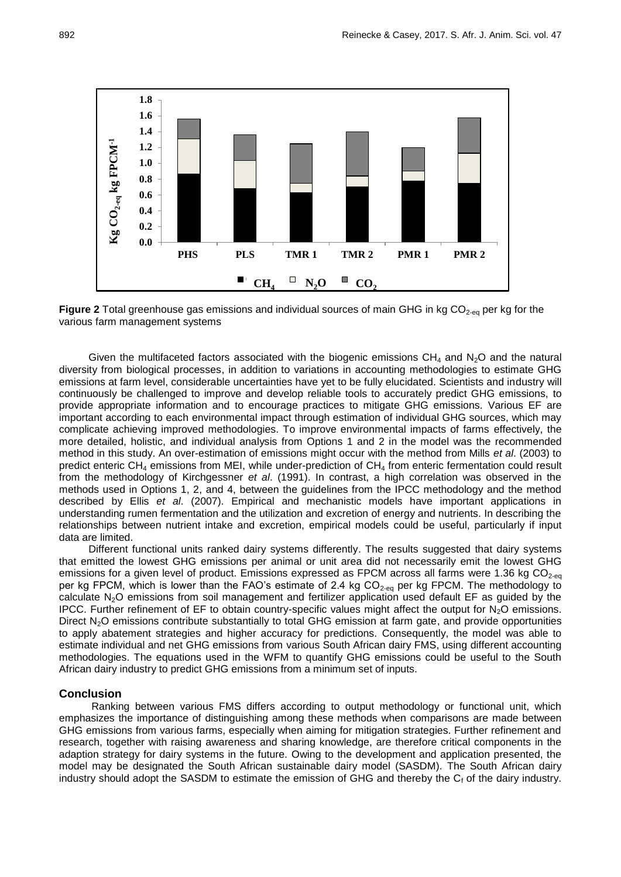

Figure 2 Total greenhouse gas emissions and individual sources of main GHG in kg CO<sub>2-eq</sub> per kg for the various farm management systems

Given the multifaceted factors associated with the biogenic emissions  $CH_4$  and  $N_2O$  and the natural diversity from biological processes, in addition to variations in accounting methodologies to estimate GHG emissions at farm level, considerable uncertainties have yet to be fully elucidated. Scientists and industry will continuously be challenged to improve and develop reliable tools to accurately predict GHG emissions, to provide appropriate information and to encourage practices to mitigate GHG emissions. Various EF are important according to each environmental impact through estimation of individual GHG sources, which may complicate achieving improved methodologies. To improve environmental impacts of farms effectively, the more detailed, holistic, and individual analysis from Options 1 and 2 in the model was the recommended method in this study. An over-estimation of emissions might occur with the method from Mills *et al*. (2003) to predict enteric CH<sup>4</sup> emissions from MEI, while under-prediction of CH<sup>4</sup> from enteric fermentation could result from the methodology of Kirchgessner *et al*. (1991). In contrast, a high correlation was observed in the methods used in Options 1, 2, and 4, between the guidelines from the IPCC methodology and the method described by Ellis *et al*. (2007). Empirical and mechanistic models have important applications in understanding rumen fermentation and the utilization and excretion of energy and nutrients. In describing the relationships between nutrient intake and excretion, empirical models could be useful, particularly if input data are limited.

Different functional units ranked dairy systems differently. The results suggested that dairy systems that emitted the lowest GHG emissions per animal or unit area did not necessarily emit the lowest GHG emissions for a given level of product. Emissions expressed as FPCM across all farms were 1.36 kg  $CO<sub>2-ea</sub>$ per kg FPCM, which is lower than the FAO's estimate of 2.4 kg  $CO_{2-\text{eq}}$  per kg FPCM. The methodology to calculate N<sub>2</sub>O emissions from soil management and fertilizer application used default EF as guided by the IPCC. Further refinement of EF to obtain country-specific values might affect the output for  $N_2O$  emissions. Direct  $N_2O$  emissions contribute substantially to total GHG emission at farm gate, and provide opportunities to apply abatement strategies and higher accuracy for predictions. Consequently, the model was able to estimate individual and net GHG emissions from various South African dairy FMS, using different accounting methodologies. The equations used in the WFM to quantify GHG emissions could be useful to the South African dairy industry to predict GHG emissions from a minimum set of inputs.

#### **Conclusion**

Ranking between various FMS differs according to output methodology or functional unit, which emphasizes the importance of distinguishing among these methods when comparisons are made between GHG emissions from various farms, especially when aiming for mitigation strategies. Further refinement and research, together with raising awareness and sharing knowledge, are therefore critical components in the adaption strategy for dairy systems in the future. Owing to the development and application presented, the model may be designated the South African sustainable dairy model (SASDM). The South African dairy industry should adopt the SASDM to estimate the emission of GHG and thereby the  $C_f$  of the dairy industry.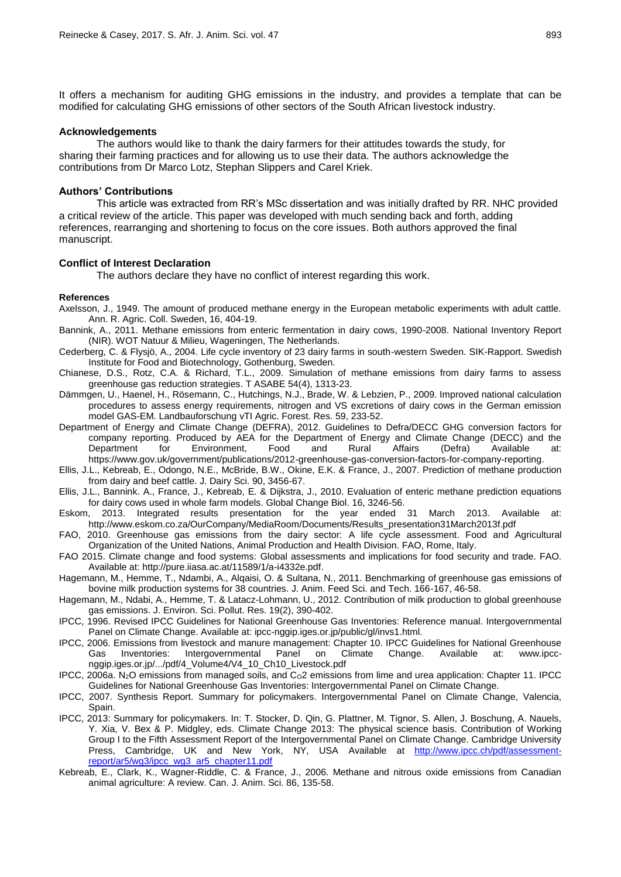It offers a mechanism for auditing GHG emissions in the industry, and provides a template that can be modified for calculating GHG emissions of other sectors of the South African livestock industry.

#### **Acknowledgements**

The authors would like to thank the dairy farmers for their attitudes towards the study, for sharing their farming practices and for allowing us to use their data. The authors acknowledge the contributions from Dr Marco Lotz, Stephan Slippers and Carel Kriek.

### **Authors' Contributions**

This article was extracted from RR's MSc dissertation and was initially drafted by RR. NHC provided a critical review of the article. This paper was developed with much sending back and forth, adding references, rearranging and shortening to focus on the core issues. Both authors approved the final manuscript.

#### **Conflict of Interest Declaration**

The authors declare they have no conflict of interest regarding this work.

#### **References**

- Axelsson, J., 1949. The amount of produced methane energy in the European metabolic experiments with adult cattle. Ann. R. Agric. Coll. Sweden, 16, 404-19.
- Bannink, A., 2011. Methane emissions from enteric fermentation in dairy cows, 1990-2008. National Inventory Report (NIR). WOT Natuur & Milieu, Wageningen, The Netherlands.
- Cederberg, C. & Flysjö, A., 2004. Life cycle inventory of 23 dairy farms in south-western Sweden. SIK-Rapport. Swedish Institute for Food and Biotechnology, Gothenburg, Sweden.
- Chianese, D.S., Rotz, C.A. & Richard, T.L., 2009. Simulation of methane emissions from dairy farms to assess greenhouse gas reduction strategies. T ASABE 54(4), 1313-23.
- Dämmgen, U., Haenel, H., Rösemann, C., Hutchings, N.J., Brade, W. & Lebzien, P., 2009. Improved national calculation procedures to assess energy requirements, nitrogen and VS excretions of dairy cows in the German emission model GAS-EM. Landbauforschung vTI Agric. Forest. Res. 59, 233-52.
- Department of Energy and Climate Change (DEFRA), 2012. Guidelines to Defra/DECC GHG conversion factors for company reporting. Produced by AEA for the Department of Energy and Climate Change (DECC) and the<br>Department for Environment, Food and Rural Affairs (Defra) Available at: Department for Environment, Food and Rural Affairs (Defra) Available at: https://www.gov.uk/government/publications/2012-greenhouse-gas-conversion-factors-for-company-reporting.
- Ellis, J.L., Kebreab, E., Odongo, N.E., McBride, B.W., Okine, E.K. & France, J., 2007. Prediction of methane production from dairy and beef cattle. J. Dairy Sci. 90, 3456-67.
- Ellis, J.L., Bannink. A., France, J., Kebreab, E. & Dijkstra, J., 2010. Evaluation of enteric methane prediction equations for dairy cows used in whole farm models. Global Change Biol. 16, 3246-56.
- Eskom, 2013. Integrated results presentation for the year ended 31 March 2013. Available at: http://www.eskom.co.za/OurCompany/MediaRoom/Documents/Results\_presentation31March2013f.pdf
- FAO, 2010. Greenhouse gas emissions from the dairy sector: A life cycle assessment. Food and Agricultural Organization of the United Nations, Animal Production and Health Division. FAO, Rome, Italy.
- FAO 2015. Climate change and food systems: Global assessments and implications for food security and trade. FAO. Available at: http://pure.iiasa.ac.at/11589/1/a-i4332e.pdf.
- Hagemann, M., Hemme, T., Ndambi, A., Alqaisi, O. & Sultana, N., 2011. Benchmarking of greenhouse gas emissions of bovine milk production systems for 38 countries. J. Anim. Feed Sci. and Tech. 166-167, 46-58.
- Hagemann, M., Ndabi, A., Hemme, T. & Latacz-Lohmann, U., 2012. Contribution of milk production to global greenhouse gas emissions. J. Environ. Sci. Pollut. Res. 19(2), 390-402.
- IPCC, 1996. Revised IPCC Guidelines for National Greenhouse Gas Inventories: Reference manual. Intergovernmental Panel on Climate Change. Available at: ipcc-nggip.iges.or.jp/public/gl/invs1.html.
- IPCC, 2006. Emissions from livestock and manure management: Chapter 10. IPCC Guidelines for National Greenhouse Gas Inventories: Intergovernmental Panel on Climate Change. Available at: www.ipccnggip.iges.or.jp/.../pdf/4\_Volume4/V4\_10\_Ch10\_Livestock.pdf
- IPCC, 2006a. N<sub>2</sub>O emissions from managed soils, and  $C<sub>0</sub>2$  emissions from lime and urea application: Chapter 11. IPCC Guidelines for National Greenhouse Gas Inventories: Intergovernmental Panel on Climate Change.
- IPCC, 2007. Synthesis Report. Summary for policymakers. Intergovernmental Panel on Climate Change, Valencia, Spain.
- IPCC, 2013: Summary for policymakers. In: T. Stocker, D. Qin, G. Plattner, M. Tignor, S. Allen, J. Boschung, A. Nauels, Y. Xia, V. Bex & P. Midgley, eds. Climate Change 2013: The physical science basis. Contribution of Working Group I to the Fifth Assessment Report of the Intergovernmental Panel on Climate Change. Cambridge University Press, Cambridge, UK and New York, NY, USA Available at [http://www.ipcc.ch/pdf/assessment](http://www.ipcc.ch/pdf/assessment-report/ar5/wg3/ipcc_wg3_ar5_chapter11.pdf)[report/ar5/wg3/ipcc\\_wg3\\_ar5\\_chapter11.pdf](http://www.ipcc.ch/pdf/assessment-report/ar5/wg3/ipcc_wg3_ar5_chapter11.pdf)
- Kebreab, E., Clark, K., Wagner-Riddle, C. & France, J., 2006. Methane and nitrous oxide emissions from Canadian animal agriculture: A review. Can. J. Anim. Sci. 86, 135-58.